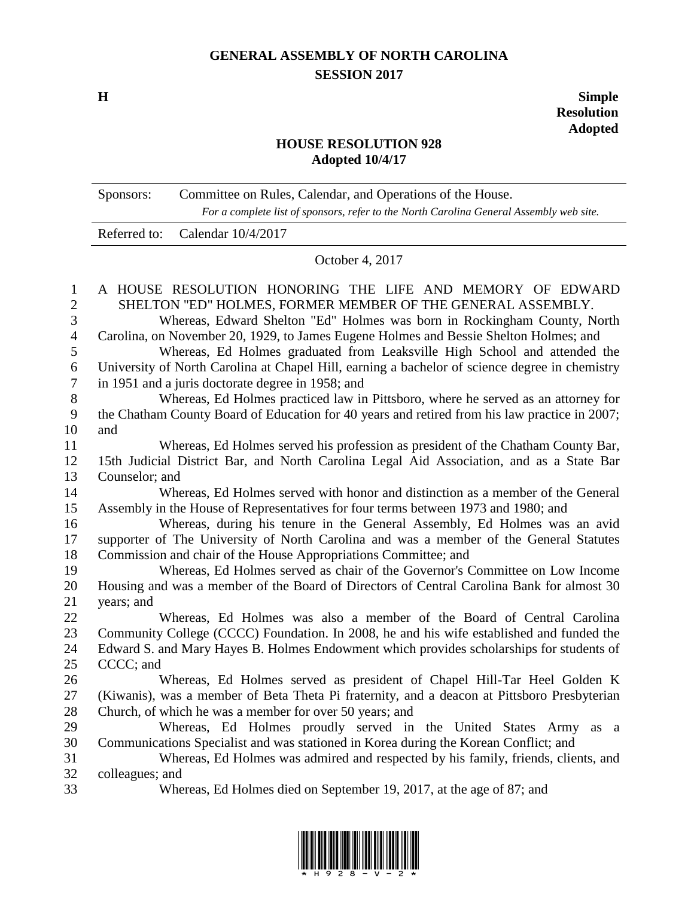## **GENERAL ASSEMBLY OF NORTH CAROLINA SESSION 2017**

**H Simple Resolution Adopted**

## **HOUSE RESOLUTION 928 Adopted 10/4/17**

|                                     | Committee on Rules, Calendar, and Operations of the House.<br>Sponsors:<br>For a complete list of sponsors, refer to the North Carolina General Assembly web site.                                                                           |  |
|-------------------------------------|----------------------------------------------------------------------------------------------------------------------------------------------------------------------------------------------------------------------------------------------|--|
|                                     | Calendar 10/4/2017<br>Referred to:                                                                                                                                                                                                           |  |
|                                     | October 4, 2017                                                                                                                                                                                                                              |  |
| $\mathbf{1}$<br>$\overline{2}$<br>3 | A HOUSE RESOLUTION HONORING THE LIFE AND MEMORY OF EDWARD<br>SHELTON "ED" HOLMES, FORMER MEMBER OF THE GENERAL ASSEMBLY.<br>Whereas, Edward Shelton "Ed" Holmes was born in Rockingham County, North                                         |  |
| $\overline{\mathcal{A}}$<br>5       | Carolina, on November 20, 1929, to James Eugene Holmes and Bessie Shelton Holmes; and                                                                                                                                                        |  |
| 6<br>$\tau$                         | Whereas, Ed Holmes graduated from Leaksville High School and attended the<br>University of North Carolina at Chapel Hill, earning a bachelor of science degree in chemistry<br>in 1951 and a juris doctorate degree in 1958; and             |  |
| 8                                   | Whereas, Ed Holmes practiced law in Pittsboro, where he served as an attorney for                                                                                                                                                            |  |
| 9<br>10                             | the Chatham County Board of Education for 40 years and retired from his law practice in 2007;<br>and                                                                                                                                         |  |
| 11<br>12                            | Whereas, Ed Holmes served his profession as president of the Chatham County Bar,<br>15th Judicial District Bar, and North Carolina Legal Aid Association, and as a State Bar                                                                 |  |
| 13                                  | Counselor; and                                                                                                                                                                                                                               |  |
| 14<br>15                            | Whereas, Ed Holmes served with honor and distinction as a member of the General<br>Assembly in the House of Representatives for four terms between 1973 and 1980; and                                                                        |  |
| 16<br>17                            | Whereas, during his tenure in the General Assembly, Ed Holmes was an avid<br>supporter of The University of North Carolina and was a member of the General Statutes                                                                          |  |
| 18<br>19<br>20                      | Commission and chair of the House Appropriations Committee; and<br>Whereas, Ed Holmes served as chair of the Governor's Committee on Low Income<br>Housing and was a member of the Board of Directors of Central Carolina Bank for almost 30 |  |
| 21                                  | years; and                                                                                                                                                                                                                                   |  |
| 22                                  | Whereas, Ed Holmes was also a member of the Board of Central Carolina                                                                                                                                                                        |  |
| 23                                  | Community College (CCCC) Foundation. In 2008, he and his wife established and funded the                                                                                                                                                     |  |
| 24                                  | Edward S. and Mary Hayes B. Holmes Endowment which provides scholarships for students of                                                                                                                                                     |  |
| 25                                  | CCCC; and                                                                                                                                                                                                                                    |  |
| 26                                  | Whereas, Ed Holmes served as president of Chapel Hill-Tar Heel Golden K                                                                                                                                                                      |  |
| 27<br>28                            | (Kiwanis), was a member of Beta Theta Pi fraternity, and a deacon at Pittsboro Presbyterian<br>Church, of which he was a member for over 50 years; and                                                                                       |  |
| 29                                  | Whereas, Ed Holmes proudly served in the United States Army as a                                                                                                                                                                             |  |
| 30                                  | Communications Specialist and was stationed in Korea during the Korean Conflict; and                                                                                                                                                         |  |
| 31                                  | Whereas, Ed Holmes was admired and respected by his family, friends, clients, and                                                                                                                                                            |  |
| 32                                  | colleagues; and                                                                                                                                                                                                                              |  |
| 33                                  | Whereas, Ed Holmes died on September 19, 2017, at the age of 87; and                                                                                                                                                                         |  |